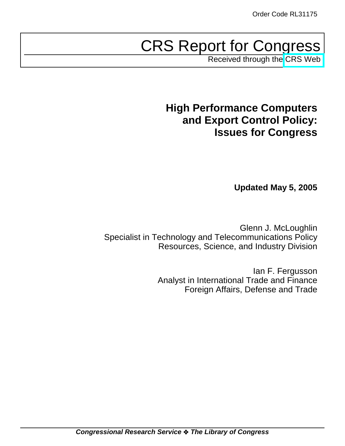# CRS Report for Congress

Received through the [CRS Web](http://www.fas.org/sgp/crs/natsec/index.html)

## **High Performance Computers and Export Control Policy: Issues for Congress**

**Updated May 5, 2005**

Glenn J. McLoughlin Specialist in Technology and Telecommunications Policy Resources, Science, and Industry Division

> Ian F. Fergusson Analyst in International Trade and Finance Foreign Affairs, Defense and Trade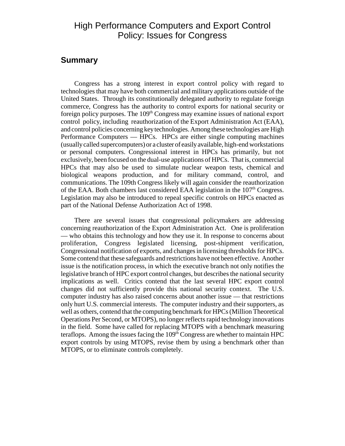## High Performance Computers and Export Control Policy: Issues for Congress

## **Summary**

Congress has a strong interest in export control policy with regard to technologies that may have both commercial and military applications outside of the United States. Through its constitutionally delegated authority to regulate foreign commerce, Congress has the authority to control exports for national security or foreign policy purposes. The  $109<sup>th</sup>$  Congress may examine issues of national export control policy, including reauthorization of the Export Administration Act (EAA), and control policies concerning key technologies. Among these technologies are High Performance Computers — HPCs. HPCs are either single computing machines (usually called supercomputers) or a cluster of easily available, high-end workstations or personal computers. Congressional interest in HPCs has primarily, but not exclusively, been focused on the dual-use applications of HPCs. That is, commercial HPCs that may also be used to simulate nuclear weapon tests, chemical and biological weapons production, and for military command, control, and communications. The 109th Congress likely will again consider the reauthorization of the EAA. Both chambers last considered EAA legislation in the  $107<sup>th</sup>$  Congress. Legislation may also be introduced to repeal specific controls on HPCs enacted as part of the National Defense Authorization Act of 1998.

There are several issues that congressional policymakers are addressing concerning reauthorization of the Export Administration Act. One is proliferation — who obtains this technology and how they use it. In response to concerns about proliferation, Congress legislated licensing, post-shipment verification, Congressional notification of exports, and changes in licensing thresholds for HPCs. Some contend that these safeguards and restrictions have not been effective. Another issue is the notification process, in which the executive branch not only notifies the legislative branch of HPC export control changes, but describes the national security implications as well. Critics contend that the last several HPC export control changes did not sufficiently provide this national security context. The U.S. computer industry has also raised concerns about another issue — that restrictions only hurt U.S. commercial interests. The computer industry and their supporters, as well as others, contend that the computing benchmark for HPCs (Million Theoretical Operations Per Second, or MTOPS), no longer reflects rapid technology innovations in the field. Some have called for replacing MTOPS with a benchmark measuring teraflops. Among the issues facing the  $109<sup>th</sup>$  Congress are whether to maintain HPC export controls by using MTOPS, revise them by using a benchmark other than MTOPS, or to eliminate controls completely.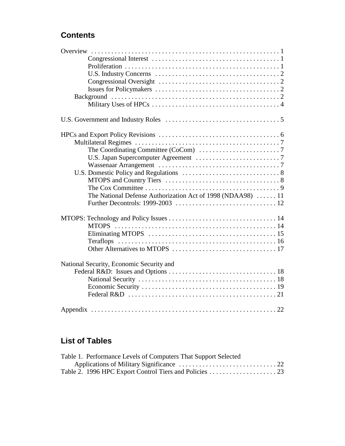## **Contents**

| The Coordinating Committee (CoCom) $\ldots \ldots \ldots \ldots \ldots \ldots \ldots$ |  |
|---------------------------------------------------------------------------------------|--|
|                                                                                       |  |
|                                                                                       |  |
|                                                                                       |  |
|                                                                                       |  |
|                                                                                       |  |
| The National Defense Authorization Act of 1998 (NDAA98) 11                            |  |
|                                                                                       |  |
|                                                                                       |  |
|                                                                                       |  |
|                                                                                       |  |
|                                                                                       |  |
|                                                                                       |  |
| National Security, Economic Security and                                              |  |
|                                                                                       |  |
|                                                                                       |  |
|                                                                                       |  |
| Federal R&D $\dots\dots\dots\dots\dots\dots\dots\dots\dots\dots\dots\dots\dots 21$    |  |
|                                                                                       |  |

## **List of Tables**

| Table 1. Performance Levels of Computers That Support Selected |  |
|----------------------------------------------------------------|--|
|                                                                |  |
|                                                                |  |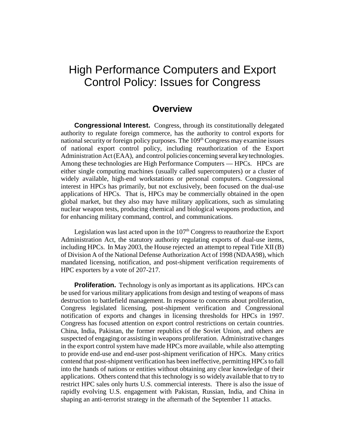## High Performance Computers and Export Control Policy: Issues for Congress

## **Overview**

**Congressional Interest.** Congress, through its constitutionally delegated authority to regulate foreign commerce, has the authority to control exports for national security or foreign policy purposes. The  $109<sup>th</sup>$  Congress may examine issues of national export control policy, including reauthorization of the Export Administration Act (EAA), and control policies concerning several key technologies. Among these technologies are High Performance Computers — HPCs. HPCs are either single computing machines (usually called supercomputers) or a cluster of widely available, high-end workstations or personal computers. Congressional interest in HPCs has primarily, but not exclusively, been focused on the dual-use applications of HPCs. That is, HPCs may be commercially obtained in the open global market, but they also may have military applications, such as simulating nuclear weapon tests, producing chemical and biological weapons production, and for enhancing military command, control, and communications.

Legislation was last acted upon in the  $107<sup>th</sup>$  Congress to reauthorize the Export Administration Act, the statutory authority regulating exports of dual-use items, including HPCs. In May 2003, the House rejected an attempt to repeal Title XII (B) of Division A of the National Defense Authorization Act of 1998 (NDAA98), which mandated licensing, notification, and post-shipment verification requirements of HPC exporters by a vote of 207-217.

**Proliferation.** Technology is only as important as its applications. HPCs can be used for various military applications from design and testing of weapons of mass destruction to battlefield management. In response to concerns about proliferation, Congress legislated licensing, post-shipment verification and Congressional notification of exports and changes in licensing thresholds for HPCs in 1997. Congress has focused attention on export control restrictions on certain countries. China, India, Pakistan, the former republics of the Soviet Union, and others are suspected of engaging or assisting in weapons proliferation. Administrative changes in the export control system have made HPCs more available, while also attempting to provide end-use and end-user post-shipment verification of HPCs. Many critics contend that post-shipment verification has been ineffective, permitting HPCs to fall into the hands of nations or entities without obtaining any clear knowledge of their applications. Others contend that this technology is so widely available that to try to restrict HPC sales only hurts U.S. commercial interests. There is also the issue of rapidly evolving U.S. engagement with Pakistan, Russian, India, and China in shaping an anti-terrorist strategy in the aftermath of the September 11 attacks.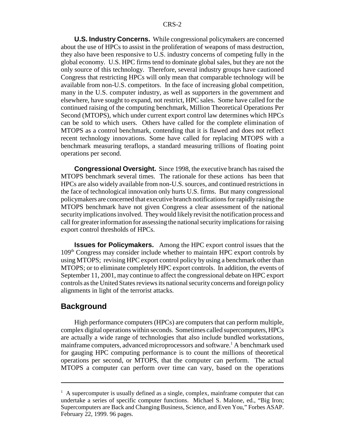**U.S. Industry Concerns.** While congressional policymakers are concerned about the use of HPCs to assist in the proliferation of weapons of mass destruction, they also have been responsive to U.S. industry concerns of competing fully in the global economy. U.S. HPC firms tend to dominate global sales, but they are not the only source of this technology. Therefore, several industry groups have cautioned Congress that restricting HPCs will only mean that comparable technology will be available from non-U.S. competitors. In the face of increasing global competition, many in the U.S. computer industry, as well as supporters in the government and elsewhere, have sought to expand, not restrict, HPC sales. Some have called for the continued raising of the computing benchmark, Million Theoretical Operations Per Second (MTOPS), which under current export control law determines which HPCs can be sold to which users. Others have called for the complete elimination of MTOPS as a control benchmark, contending that it is flawed and does not reflect recent technology innovations. Some have called for replacing MTOPS with a benchmark measuring teraflops, a standard measuring trillions of floating point operations per second.

**Congressional Oversight.** Since 1998, the executive branch has raised the MTOPS benchmark several times. The rationale for these actions has been that HPCs are also widely available from non-U.S. sources, and continued restrictions in the face of technological innovation only hurts U.S. firms. But many congressional policymakers are concerned that executive branch notifications for rapidly raising the MTOPS benchmark have not given Congress a clear assessment of the national security implications involved. They would likely revisit the notification process and call for greater information for assessing the national security implications for raising export control thresholds of HPCs.

**Issues for Policymakers.** Among the HPC export control issues that the 109th Congress may consider include whether to maintain HPC export controls by using MTOPS; revising HPC export control policy by using a benchmark other than MTOPS; or to eliminate completely HPC export controls. In addition, the events of September 11, 2001, may continue to affect the congressional debate on HPC export controls as the United States reviews its national security concerns and foreign policy alignments in light of the terrorist attacks.

### **Background**

High performance computers (HPCs) are computers that can perform multiple, complex digital operations within seconds. Sometimes called supercomputers, HPCs are actually a wide range of technologies that also include bundled workstations, mainframe computers, advanced microprocessors and software.<sup>1</sup> A benchmark used for gauging HPC computing performance is to count the millions of theoretical operations per second, or MTOPS, that the computer can perform. The actual MTOPS a computer can perform over time can vary, based on the operations

 $<sup>1</sup>$  A supercomputer is usually defined as a single, complex, mainframe computer that can</sup> undertake a series of specific computer functions. Michael S. Malone, ed., "Big Iron; Supercomputers are Back and Changing Business, Science, and Even You," Forbes ASAP. February 22, 1999. 96 pages.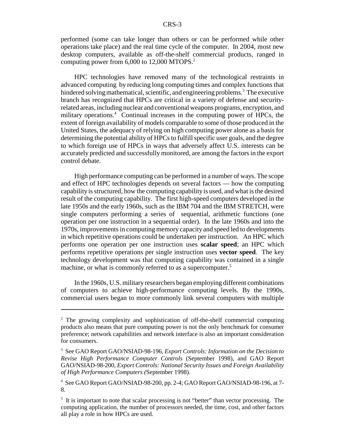performed (some can take longer than others or can be performed while other operations take place) and the real time cycle of the computer. In 2004, most new desktop computers, available as off-the-shelf commercial products, ranged in computing power from 6,000 to 12,000 MTOPS.<sup>2</sup>

HPC technologies have removed many of the technological restraints in advanced computing by reducing long computing times and complex functions that hindered solving mathematical, scientific, and engineering problems.<sup>3</sup> The executive branch has recognized that HPCs are critical in a variety of defense and securityrelated areas, including nuclear and conventional weapons programs, encryption, and military operations.<sup>4</sup> Continual increases in the computing power of HPCs, the extent of foreign availability of models comparable to some of those produced in the United States, the adequacy of relying on high computing power alone as a basis for determining the potential ability of HPCs to fulfill specific user goals, and the degree to which foreign use of HPCs in ways that adversely affect U.S. interests can be accurately predicted and successfully monitored, are among the factors in the export control debate.

High performance computing can be performed in a number of ways. The scope and effect of HPC technologies depends on several factors — how the computing capability is structured, how the computing capability is used, and what is the desired result of the computing capability. The first high-speed computers developed in the late 1950s and the early 1960s, such as the IBM 704 and the IBM STRETCH, were single computers performing a series of sequential, arithmetic functions (one operation per one instruction in a sequential order). In the late 1960s and into the 1970s, improvements in computing memory capacity and speed led to developments in which repetitive operations could be undertaken per instruction. An HPC which performs one operation per one instruction uses **scalar speed**; an HPC which performs repetitive operations per single instruction uses **vector speed**. The key technology development was that computing capability was contained in a single machine, or what is commonly referred to as a supercomputer.<sup>5</sup>

In the 1960s, U.S. military researchers began employing different combinations of computers to achieve high-performance computing levels. By the 1990s, commercial users began to more commonly link several computers with multiple

<sup>&</sup>lt;sup>2</sup> The growing complexity and sophistication of off-the-shelf commercial computing products also means that pure computing power is not the only benchmark for consumer preference; network capabilities and network interface is also an important consideration for consumers.

<sup>3</sup> See GAO Report GAO/NSIAD-98-196, *Export Controls: Information on the Decision to Revise High Performance Computer Controls* (September 1998), and GAO Report GAO/NSIAD-98-200, *Export Controls: National Security Issues and Foreign Availability of High Performance Computers (*September 1998).

<sup>4</sup> See GAO Report GAO/NSIAD-98-200, pp. 2-4; GAO Report GAO/NSIAD-98-196, at 7- 8.

<sup>&</sup>lt;sup>5</sup> It is important to note that scalar processing is not "better" than vector processing. The computing application, the number of processors needed, the time, cost, and other factors all play a role in how HPCs are used.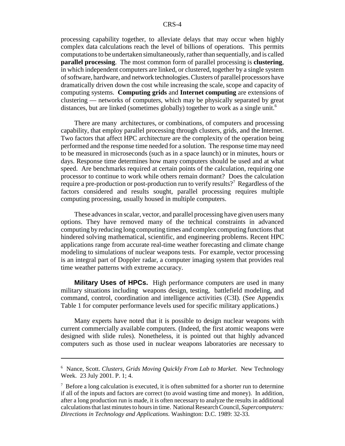processing capability together, to alleviate delays that may occur when highly complex data calculations reach the level of billions of operations. This permits computations to be undertaken simultaneously, rather than sequentially, and is called **parallel processing**. The most common form of parallel processing is **clustering**, in which independent computers are linked, or clustered, together by a single system of software, hardware, and network technologies. Clusters of parallel processors have dramatically driven down the cost while increasing the scale, scope and capacity of computing systems. **Computing grids** and **Internet computing** are extensions of clustering — networks of computers, which may be physically separated by great distances, but are linked (sometimes globally) together to work as a single unit.<sup>6</sup>

There are many architectures, or combinations, of computers and processing capability, that employ parallel processing through clusters, grids, and the Internet. Two factors that affect HPC architecture are the complexity of the operation being performed and the response time needed for a solution. The response time may need to be measured in microseconds (such as in a space launch) or in minutes, hours or days. Response time determines how many computers should be used and at what speed. Are benchmarks required at certain points of the calculation, requiring one processor to continue to work while others remain dormant? Does the calculation require a pre-production or post-production run to verify results?<sup>7</sup> Regardless of the factors considered and results sought, parallel processing requires multiple computing processing, usually housed in multiple computers.

These advances in scalar, vector, and parallel processing have given users many options. They have removed many of the technical constraints in advanced computing by reducing long computing times and complex computing functions that hindered solving mathematical, scientific, and engineering problems. Recent HPC applications range from accurate real-time weather forecasting and climate change modeling to simulations of nuclear weapons tests. For example, vector processing is an integral part of Doppler radar, a computer imaging system that provides real time weather patterns with extreme accuracy.

**Military Uses of HPCs.** High performance computers are used in many military situations including weapons design, testing, battlefield modeling, and command, control, coordination and intelligence activities (C3I). (See Appendix Table 1 for computer performance levels used for specific military applications.)

Many experts have noted that it is possible to design nuclear weapons with current commercially available computers. (Indeed, the first atomic weapons were designed with slide rules). Nonetheless, it is pointed out that highly advanced computers such as those used in nuclear weapons laboratories are necessary to

<sup>6</sup> Nance, Scott. *Clusters, Grids Moving Quickly From Lab to Market.* New Technology Week. 23 July 2001. P. 1; 4.

 $7$  Before a long calculation is executed, it is often submitted for a shorter run to determine if all of the inputs and factors are correct (to avoid wasting time and money). In addition, after a long production run is made, it is often necessary to analyze the results in additional calculations that last minutes to hours in time. National Research Council, *Supercomputers: Directions in Technology and Applications.* Washington: D.C. 1989: 32-33.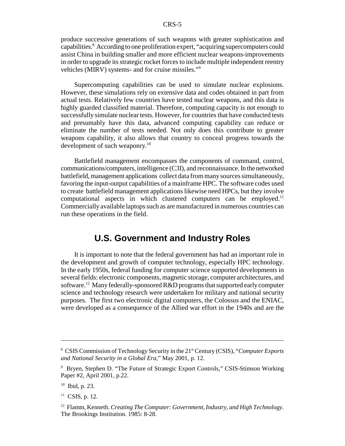produce successive generations of such weapons with greater sophistication and capabilities.<sup>8</sup> According to one proliferation expert, "acquiring supercomputers could assist China in building smaller and more efficient nuclear weapons-improvements in order to upgrade its strategic rocket forces to include multiple independent reentry vehicles (MIRV) systems- and for cruise missiles."9

Supercomputing capabilities can be used to simulate nuclear explosions. However, these simulations rely on extensive data and codes obtained in part from actual tests. Relatively few countries have tested nuclear weapons, and this data is highly guarded classified material. Therefore, computing capacity is not enough to successfully simulate nuclear tests. However, for countries that have conducted tests and presumably have this data, advanced computing capability can reduce or eliminate the number of tests needed. Not only does this contribute to greater weapons capability, it also allows that country to conceal progress towards the development of such weaponry.<sup>10</sup>

Battlefield management encompasses the components of command, control, communications/computers, intelligence (C3I), and reconnaissance. In the networked battlefield, management applications collect data from many sources simultaneously, favoring the input-output capabilities of a mainframe HPC. The software codes used to create battlefield management applications likewise need HPCs, but they involve computational aspects in which clustered computers can be employed.<sup>11</sup> Commercially available laptops such as are manufactured in numerous countries can run these operations in the field.

## **U.S. Government and Industry Roles**

It is important to note that the federal government has had an important role in the development and growth of computer technology, especially HPC technology. In the early 1950s, federal funding for computer science supported developments in several fields: electronic components, magnetic storage, computer architectures, and software.<sup>12</sup> Many federally-sponsored R&D programs that supported early computer science and technology research were undertaken for military and national security purposes. The first two electronic digital computers, the Colossus and the ENIAC, were developed as a consequence of the Allied war effort in the 1940s and are the

<sup>&</sup>lt;sup>8</sup> CSIS Commission of Technology Security in the 21<sup>st</sup> Century (CSIS), "Computer Exports *and National Security in a Global Era*," May 2001, p. 12.

<sup>&</sup>lt;sup>9</sup> Bryen, Stephen D. "The Future of Strategic Export Controls," CSIS-Stimson Working Paper #2, April 2001, p.22.

 $10$  Ibid, p. 23.

 $11$  CSIS, p. 12.

<sup>12</sup> Flamm, Kenneth. *Creating The Computer: Government, Industry, and High Technology.* The Brookings Institution. 1985: 8-28.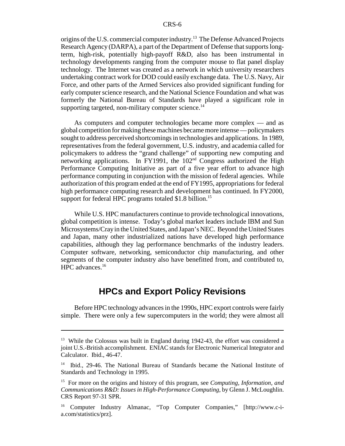origins of the U.S. commercial computer industry.<sup>13</sup> The Defense Advanced Projects Research Agency (DARPA), a part of the Department of Defense that supports longterm, high-risk, potentially high-payoff R&D, also has been instrumental in technology developments ranging from the computer mouse to flat panel display technology. The Internet was created as a network in which university researchers undertaking contract work for DOD could easily exchange data. The U.S. Navy, Air Force, and other parts of the Armed Services also provided significant funding for early computer science research, and the National Science Foundation and what was formerly the National Bureau of Standards have played a significant role in supporting targeted, non-military computer science.<sup>14</sup>

As computers and computer technologies became more complex — and as global competition for making these machines became more intense — policymakers sought to address perceived shortcomings in technologies and applications. In 1989, representatives from the federal government, U.S. industry, and academia called for policymakers to address the "grand challenge" of supporting new computing and networking applications. In FY1991, the 102<sup>nd</sup> Congress authorized the High Performance Computing Initiative as part of a five year effort to advance high performance computing in conjunction with the mission of federal agencies. While authorization of this program ended at the end of FY1995, appropriations for federal high performance computing research and development has continued. In FY2000, support for federal HPC programs totaled \$1.8 billion.<sup>15</sup>

While U.S. HPC manufacturers continue to provide technological innovations, global competition is intense. Today's global market leaders include IBM and Sun Microsystems/Cray in the United States, and Japan's NEC. Beyond the United States and Japan, many other industrialized nations have developed high performance capabilities, although they lag performance benchmarks of the industry leaders. Computer software, networking, semiconductor chip manufacturing, and other segments of the computer industry also have benefitted from, and contributed to, HPC advances.<sup>16</sup>

## **HPCs and Export Policy Revisions**

Before HPC technology advances in the 1990s, HPC export controls were fairly simple. There were only a few supercomputers in the world; they were almost all

<sup>&</sup>lt;sup>13</sup> While the Colossus was built in England during 1942-43, the effort was considered a joint U.S.-British accomplishment. ENIAC stands for Electronic Numerical Integrator and Calculator. Ibid., 46-47.

<sup>&</sup>lt;sup>14</sup> Ibid., 29-46. The National Bureau of Standards became the National Institute of Standards and Technology in 1995.

<sup>15</sup> For more on the origins and history of this program, see *Computing, Information, and Communications R&D: Issues in High-Performance Computing*, by Glenn J. McLoughlin. CRS Report 97-31 SPR.

<sup>16</sup> Computer Industry Almanac, "Top Computer Companies," [http://www.c-ia.com/statistics/prz].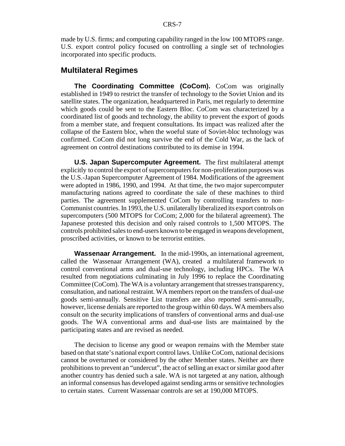made by U.S. firms; and computing capability ranged in the low 100 MTOPS range. U.S. export control policy focused on controlling a single set of technologies incorporated into specific products.

### **Multilateral Regimes**

**The Coordinating Committee (CoCom).** CoCom was originally established in 1949 to restrict the transfer of technology to the Soviet Union and its satellite states. The organization, headquartered in Paris, met regularly to determine which goods could be sent to the Eastern Bloc. CoCom was characterized by a coordinated list of goods and technology, the ability to prevent the export of goods from a member state, and frequent consultations. Its impact was realized after the collapse of the Eastern bloc, when the woeful state of Soviet-bloc technology was confirmed. CoCom did not long survive the end of the Cold War, as the lack of agreement on control destinations contributed to its demise in 1994.

**U.S. Japan Supercomputer Agreement.** The first multilateral attempt explicitly to control the export of supercomputers for non-proliferation purposes was the U.S.-Japan Supercomputer Agreement of 1984. Modifications of the agreement were adopted in 1986, 1990, and 1994. At that time, the two major supercomputer manufacturing nations agreed to coordinate the sale of these machines to third parties. The agreement supplemented CoCom by controlling transfers to non-Communist countries. In 1993, the U.S. unilaterally liberalized its export controls on supercomputers (500 MTOPS for CoCom; 2,000 for the bilateral agreement). The Japanese protested this decision and only raised controls to 1,500 MTOPS. The controls prohibited sales to end-users known to be engaged in weapons development, proscribed activities, or known to be terrorist entities.

**Wassenaar Arrangement.** In the mid-1990s, an international agreement, called the Wassenaar Arrangement (WA), created a multilateral framework to control conventional arms and dual-use technology, including HPCs. The WA resulted from negotiations culminating in July 1996 to replace the Coordinating Committee (CoCom). The WA is a voluntary arrangement that stresses transparency, consultation, and national restraint. WA members report on the transfers of dual-use goods semi-annually. Sensitive List transfers are also reported semi-annually, however, license denials are reported to the group within 60 days. WA members also consult on the security implications of transfers of conventional arms and dual-use goods. The WA conventional arms and dual-use lists are maintained by the participating states and are revised as needed.

The decision to license any good or weapon remains with the Member state based on that state's national export control laws. Unlike CoCom, national decisions cannot be overturned or considered by the other Member states. Neither are there prohibitions to prevent an "undercut", the act of selling an exact or similar good after another country has denied such a sale. WA is not targeted at any nation, although an informal consensus has developed against sending arms or sensitive technologies to certain states. Current Wassenaar controls are set at 190,000 MTOPS.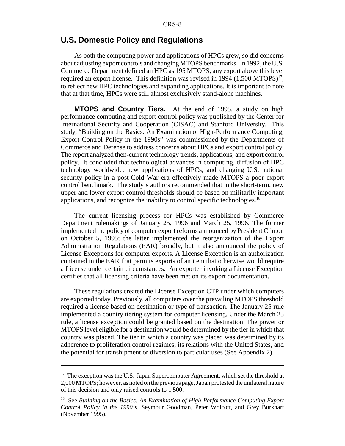## **U.S. Domestic Policy and Regulations**

As both the computing power and applications of HPCs grew, so did concerns about adjusting export controls and changing MTOPS benchmarks. In 1992, the U.S. Commerce Department defined an HPC as 195 MTOPS; any export above this level required an export license. This definition was revised in 1994  $(1,500 \text{ MTOPS})^{17}$ , to reflect new HPC technologies and expanding applications. It is important to note that at that time, HPCs were still almost exclusively stand-alone machines.

**MTOPS and Country Tiers.** At the end of 1995, a study on high performance computing and export control policy was published by the Center for International Security and Cooperation (CISAC) and Stanford University. This study, "Building on the Basics: An Examination of High-Performance Computing, Export Control Policy in the 1990s" was commissioned by the Departments of Commerce and Defense to address concerns about HPCs and export control policy. The report analyzed then-current technology trends, applications, and export control policy. It concluded that technological advances in computing, diffusion of HPC technology worldwide, new applications of HPCs, and changing U.S. national security policy in a post-Cold War era effectively made MTOPS a poor export control benchmark. The study's authors recommended that in the short-term, new upper and lower export control thresholds should be based on militarily important applications, and recognize the inability to control specific technologies.<sup>18</sup>

The current licensing process for HPCs was established by Commerce Department rulemakings of January 25, 1996 and March 25, 1996. The former implemented the policy of computer export reforms announced by President Clinton on October 5, 1995; the latter implemented the reorganization of the Export Administration Regulations (EAR) broadly, but it also announced the policy of License Exceptions for computer exports. A License Exception is an authorization contained in the EAR that permits exports of an item that otherwise would require a License under certain circumstances. An exporter invoking a License Exception certifies that all licensing criteria have been met on its export documentation.

These regulations created the License Exception CTP under which computers are exported today. Previously, all computers over the prevailing MTOPS threshold required a license based on destination or type of transaction. The January 25 rule implemented a country tiering system for computer licensing. Under the March 25 rule, a license exception could be granted based on the destination. The power or MTOPS level eligible for a destination would be determined by the tier in which that country was placed. The tier in which a country was placed was determined by its adherence to proliferation control regimes, its relations with the United States, and the potential for transhipment or diversion to particular uses (See Appendix 2).

 $17$  The exception was the U.S.-Japan Supercomputer Agreement, which set the threshold at 2,000 MTOPS; however, as noted on the previous page, Japan protested the unilateral nature of this decision and only raised controls to 1,500.

<sup>18</sup> See *Building on the Basics: An Examination of High-Performance Computing Export Control Policy in the 1990's*, Seymour Goodman, Peter Wolcott, and Grey Burkhart (November 1995).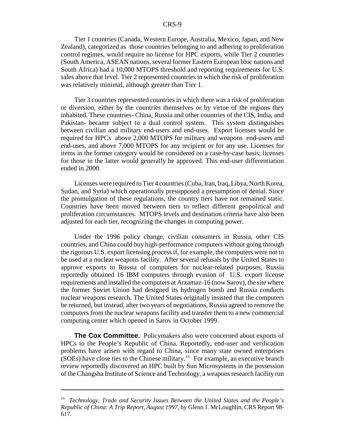Tier 1 countries (Canada, Western Europe, Australia, Mexico, Japan, and New Zealand), categorized as those countries belonging to and adhering to proliferation control regimes, would require no license for HPC exports, while Tier 2 countries (South America, ASEAN nations, several former Eastern European bloc nations and South Africa) had a 10,000 MTOPS threshold and reporting requirements for U.S. sales above that level. Tier 2 represented countries in which the risk of proliferation was relatively minimal, although greater than Tier 1.

Tier 3 countries represented countries in which there was a risk of proliferation or diversion, either by the countries themselves or by virtue of the regions they inhabited. These countries- China, Russia and other countries of the CIS, India, and Pakistan- became subject to a dual control system. This system distinguishes between civilian and military end-users and end-uses. Export licenses would be required for HPCs above 2,000 MTOPS for military and weapons end-users and end-uses, and above 7,000 MTOPS for any recipient or for any use. Licenses for items in the former category would be considered on a case-by-case basis; licenses for those in the latter would generally be approved. This end-user differentiation ended in 2000.

Licenses were required to Tier 4 countries (Cuba, Iran, Iraq, Libya, North Korea, Sudan, and Syria) which operationally presupposed a presumption of denial. Since the promulgation of these regulations, the country tiers have not remained static. Countries have been moved between tiers to reflect different geopolitical and proliferation circumstances. MTOPS levels and destination criteria have also been adjusted for each tier, recognizing the changes in computing power.

Under the 1996 policy change, civilian consumers in Russia, other CIS countries, and China could buy high-performance computers without going through the rigorous U.S. export licensing process if, for example, the computers were not to be used at a nuclear weapons facility. After several refusals by the United States to approve exports to Russia of computers for nuclear-related purposes, Russia reportedly obtained 16 IBM computers through evasion of U.S. export license requirements and installed the computers at Arzamaz-16 (now Sarov), the site where the former Soviet Union had designed its hydrogen bomb and Russia conducts nuclear weapons research. The United States originally insisted that the computers be returned, but instead, after two years of negotiations, Russia agreed to remove the computers from the nuclear weapons facility and transfer them to a new commercial computing center which opened in Sarov in October 1999.

**The Cox Committee.** Policymakers also were concerned about exports of HPCs to the People's Republic of China. Reportedly, end-user and verification problems have arisen with regard to China, since many state owned enterprises  $(SOEs)$  have close ties to the Chinese military.<sup>19</sup> For example, an executive branch review reportedly discovered an HPC built by Sun Microsystems in the possession of the Changsha Institute of Science and Technology, a weapons research facility run

<sup>19</sup> *Technology, Trade and Security Issues Between the United States and the People's Republic of China: A Trip Report, August 1997,* by Glenn J. McLoughlin, CRS Report 98- 617.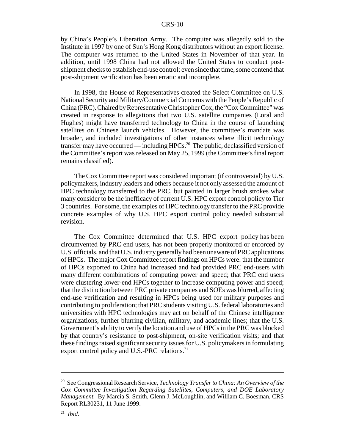by China's People's Liberation Army. The computer was allegedly sold to the Institute in 1997 by one of Sun's Hong Kong distributors without an export license. The computer was returned to the United States in November of that year. In addition, until 1998 China had not allowed the United States to conduct postshipment checks to establish end-use control; even since that time, some contend that post-shipment verification has been erratic and incomplete.

In 1998, the House of Representatives created the Select Committee on U.S. National Security and Military/Commercial Concerns with the People's Republic of China (PRC). Chaired by Representative Christopher Cox, the "Cox Committee" was created in response to allegations that two U.S. satellite companies (Loral and Hughes) might have transferred technology to China in the course of launching satellites on Chinese launch vehicles. However, the committee's mandate was broader, and included investigations of other instances where illicit technology transfer may have occurred — including HPCs.<sup>20</sup> The public, declassified version of the Committee's report was released on May 25, 1999 (the Committee's final report remains classified).

The Cox Committee report was considered important (if controversial) by U.S. policymakers, industry leaders and others because it not only assessed the amount of HPC technology transferred to the PRC, but painted in larger brush strokes what many consider to be the inefficacy of current U.S. HPC export control policy to Tier 3 countries. For some, the examples of HPC technology transfer to the PRC provide concrete examples of why U.S. HPC export control policy needed substantial revision.

 The Cox Committee determined that U.S. HPC export policy has been circumvented by PRC end users, has not been properly monitored or enforced by U.S. officials, and that U.S. industry generally had been unaware of PRC applications of HPCs. The major Cox Committee report findings on HPCs were: that the number of HPCs exported to China had increased and had provided PRC end-users with many different combinations of computing power and speed; that PRC end users were clustering lower-end HPCs together to increase computing power and speed; that the distinction between PRC private companies and SOEs was blurred, affecting end-use verification and resulting in HPCs being used for military purposes and contributing to proliferation; that PRC students visiting U.S. federal laboratories and universities with HPC technologies may act on behalf of the Chinese intelligence organizations, further blurring civilian, military, and academic lines; that the U.S. Government's ability to verify the location and use of HPCs in the PRC was blocked by that country's resistance to post-shipment, on-site verification visits; and that these findings raised significant security issues for U.S. policymakers in formulating export control policy and U.S.-PRC relations.<sup>21</sup>

<sup>20</sup> See Congressional Research Service, *Technology Transfer to China: An Overview of the Cox Committee Investigation Regarding Satellites, Computers, and DOE Laboratory Management.* By Marcia S. Smith, Glenn J. McLoughlin, and William C. Boesman, CRS Report RL30231, 11 June 1999.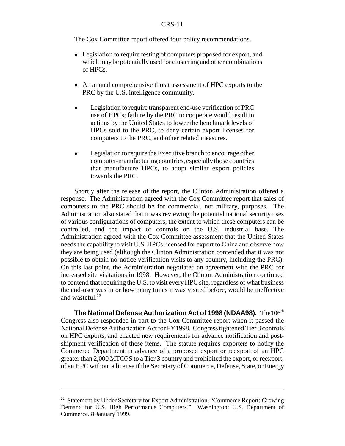The Cox Committee report offered four policy recommendations.

- Legislation to require testing of computers proposed for export, and which may be potentially used for clustering and other combinations of HPCs.
- An annual comprehensive threat assessment of HPC exports to the PRC by the U.S. intelligence community.
- ! Legislation to require transparent end-use verification of PRC use of HPCs; failure by the PRC to cooperate would result in actions by the United States to lower the benchmark levels of HPCs sold to the PRC, to deny certain export licenses for computers to the PRC, and other related measures.
- Legislation to require the Executive branch to encourage other computer-manufacturing countries, especially those countries that manufacture HPCs, to adopt similar export policies towards the PRC.

Shortly after the release of the report, the Clinton Administration offered a response. The Administration agreed with the Cox Committee report that sales of computers to the PRC should be for commercial, not military, purposes. The Administration also stated that it was reviewing the potential national security uses of various configurations of computers, the extent to which these computers can be controlled, and the impact of controls on the U.S. industrial base. The Administration agreed with the Cox Committee assessment that the United States needs the capability to visit U.S. HPCs licensed for export to China and observe how they are being used (although the Clinton Administration contended that it was not possible to obtain no-notice verification visits to any country, including the PRC). On this last point, the Administration negotiated an agreement with the PRC for increased site visitations in 1998. However, the Clinton Administration continued to contend that requiring the U.S. to visit every HPC site, regardless of what business the end-user was in or how many times it was visited before, would be ineffective and wasteful.<sup>22</sup>

**The National Defense Authorization Act of 1998 (NDAA98).** The106<sup>th</sup> Congress also responded in part to the Cox Committee report when it passed the National Defense Authorization Act for FY1998. Congress tightened Tier 3 controls on HPC exports, and enacted new requirements for advance notification and postshipment verification of these items. The statute requires exporters to notify the Commerce Department in advance of a proposed export or reexport of an HPC greater than 2,000 MTOPS to a Tier 3 country and prohibited the export, or reexport, of an HPC without a license if the Secretary of Commerce, Defense, State, or Energy

<sup>&</sup>lt;sup>22</sup> Statement by Under Secretary for Export Administration, "Commerce Report: Growing Demand for U.S. High Performance Computers." Washington: U.S. Department of Commerce. 8 January 1999.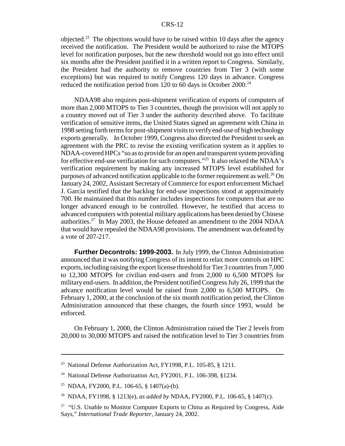objected.<sup>23</sup> The objections would have to be raised within 10 days after the agency received the notification. The President would be authorized to raise the MTOPS level for notification purposes, but the new threshold would not go into effect until six months after the President justified it in a written report to Congress. Similarly, the President had the authority to remove countries from Tier 3 (with some exceptions) but was required to notify Congress 120 days in advance. Congress reduced the notification period from 120 to 60 days in October 2000.<sup>24</sup>

NDAA98 also requires post-shipment verification of exports of computers of more than 2,000 MTOPS to Tier 3 countries, though the provision will not apply to a country moved out of Tier 3 under the authority described above. To facilitate verification of sensitive items, the United States signed an agreement with China in 1998 setting forth terms for post-shipment visits to verify end-use of high technology exports generally. In October 1999, Congress also directed the President to seek an agreement with the PRC to revise the existing verification system as it applies to NDAA-covered HPCs "so as to provide for an open and transparent system providing for effective end-use verification for such computers."25 It also relaxed the NDAA's verification requirement by making any increased MTOPS level established for purposes of advanced notification applicable to the former requirement as well.<sup>26</sup> On January 24, 2002, Assistant Secretary of Commerce for export enforcement Michael J. Garcia testified that the backlog for end-use inspections stood at approximately 700. He maintained that this number includes inspections for computers that are no longer advanced enough to be controlled. However, he testified that access to advanced computers with potential military applications has been denied by Chinese authorities.<sup>27</sup> In May 2003, the House defeated an amendment to the 2004 NDAA that would have repealed the NDAA98 provisions. The amendment was defeated by a vote of 207-217.

**Further Decontrols: 1999-2003.** In July 1999, the Clinton Administration announced that it was notifying Congress of its intent to relax more controls on HPC exports, including raising the export license threshold for Tier 3 countries from 7,000 to 12,300 MTOPS for civilian end-users and from 2,000 to 6,500 MTOPS for military end-users. In addition, the President notified Congress July 26, 1999 that the advance notification level would be raised from 2,000 to 6,500 MTOPS. On February 1, 2000, at the conclusion of the six month notification period, the Clinton Administration announced that these changes, the fourth since 1993, would be enforced.

On February 1, 2000, the Clinton Administration raised the Tier 2 levels from 20,000 to 30,000 MTOPS and raised the notification level to Tier 3 countries from

<sup>&</sup>lt;sup>23</sup> National Defense Authorization Act, FY1998, P.L. 105-85, § 1211.

<sup>&</sup>lt;sup>24</sup> National Defense Authorization Act, FY2001, P.L. 106-398, §1234.

<sup>&</sup>lt;sup>25</sup> NDAA, FY2000, P.L. 106-65, § 1407(a)-(b).

<sup>26</sup> NDAA, FY1998, § 1213(e), *as added by* NDAA, FY2000, P.L. 106-65, § 1407(c).

 $27$  "U.S. Unable to Monitor Computer Exports to China as Required by Congress, Aide Says," *International Trade Reporter*, January 24, 2002.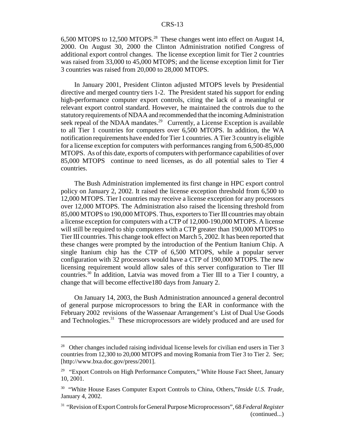6,500 MTOPS to 12,500 MTOPS.28 These changes went into effect on August 14, 2000. On August 30, 2000 the Clinton Administration notified Congress of additional export control changes. The license exception limit for Tier 2 countries was raised from 33,000 to 45,000 MTOPS; and the license exception limit for Tier 3 countries was raised from 20,000 to 28,000 MTOPS.

In January 2001, President Clinton adjusted MTOPS levels by Presidential directive and merged country tiers 1-2. The President stated his support for ending high-performance computer export controls, citing the lack of a meaningful or relevant export control standard. However, he maintained the controls due to the statutory requirements of NDAA and recommended that the incoming Administration seek repeal of the NDAA mandates.<sup>29</sup> Currently, a License Exception is available to all Tier 1 countries for computers over 6,500 MTOPS. In addition, the WA notification requirements have ended for Tier 1 countries. A Tier 3 country is eligible for a license exception for computers with performances ranging from 6,500-85,000 MTOPS. As of this date, exports of computers with performance capabilities of over 85,000 MTOPS continue to need licenses, as do all potential sales to Tier 4 countries.

The Bush Administration implemented its first change in HPC export control policy on January 2, 2002. It raised the license exception threshold from 6,500 to 12,000 MTOPS. Tier I countries may receive a license exception for any processors over 12,000 MTOPS. The Administration also raised the licensing threshold from 85,000 MTOPS to 190,000 MTOPS. Thus, exporters to Tier III countries may obtain a license exception for computers with a CTP of 12,000-190,000 MTOPS. A license will still be required to ship computers with a CTP greater than 190,000 MTOPS to Tier III countries. This change took effect on March 5, 2002. It has been reported that these changes were prompted by the introduction of the Pentium Itanium Chip. A single Itanium chip has the CTP of 6,500 MTOPS, while a popular server configuration with 32 processors would have a CTP of 190,000 MTOPS. The new licensing requirement would allow sales of this server configuration to Tier III countries.30 In addition, Latvia was moved from a Tier III to a Tier I country, a change that will become effective180 days from January 2.

On January 14, 2003, the Bush Administration announced a general decontrol of general purpose microprocessors to bring the EAR in conformance with the February 2002 revisions of the Wassenaar Arrangement's List of Dual Use Goods and Technologies.31 These microprocessors are widely produced and are used for

<sup>&</sup>lt;sup>28</sup> Other changes included raising individual license levels for civilian end users in Tier 3 countries from 12,300 to 20,000 MTOPS and moving Romania from Tier 3 to Tier 2. See; [http://www.bxa.doc.gov/press/2001].

<sup>&</sup>lt;sup>29</sup> "Export Controls on High Performance Computers," White House Fact Sheet, January 10, 2001.

<sup>30 &</sup>quot;White House Eases Computer Export Controls to China, Others,"*Inside U.S. Trade,* January 4, 2002.

<sup>31 &</sup>quot;Revision of Export Controls for General Purpose Microprocessors", 68 *Federal Register* (continued...)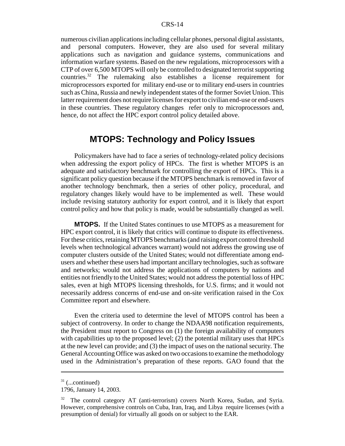numerous civilian applications including cellular phones, personal digital assistants, and personal computers. However, they are also used for several military applications such as navigation and guidance systems, communications and information warfare systems. Based on the new regulations, microprocessors with a CTP of over 6,500 MTOPS will only be controlled to designated terrorist supporting countries.32 The rulemaking also establishes a license requirement for microprocessors exported for military end-use or to military end-users in countries such as China, Russia and newly independent states of the former Soviet Union. This latter requirement does not require licenses for export to civilian end-use or end-users in these countries. These regulatory changes refer only to microprocessors and, hence, do not affect the HPC export control policy detailed above.

## **MTOPS: Technology and Policy Issues**

Policymakers have had to face a series of technology-related policy decisions when addressing the export policy of HPCs. The first is whether MTOPS is an adequate and satisfactory benchmark for controlling the export of HPCs. This is a significant policy question because if the MTOPS benchmark is removed in favor of another technology benchmark, then a series of other policy, procedural, and regulatory changes likely would have to be implemented as well. These would include revising statutory authority for export control, and it is likely that export control policy and how that policy is made, would be substantially changed as well.

**MTOPS.** If the United States continues to use MTOPS as a measurement for HPC export control, it is likely that critics will continue to dispute its effectiveness. For these critics, retaining MTOPS benchmarks (and raising export control threshold levels when technological advances warrant) would not address the growing use of computer clusters outside of the United States; would not differentiate among endusers and whether these users had important ancillary technologies, such as software and networks; would not address the applications of computers by nations and entities not friendly to the United States; would not address the potential loss of HPC sales, even at high MTOPS licensing thresholds, for U.S. firms; and it would not necessarily address concerns of end-use and on-site verification raised in the Cox Committee report and elsewhere.

Even the criteria used to determine the level of MTOPS control has been a subject of controversy. In order to change the NDAA98 notification requirements, the President must report to Congress on (1) the foreign availability of computers with capabilities up to the proposed level; (2) the potential military uses that HPCs at the new level can provide; and (3) the impact of uses on the national security. The General Accounting Office was asked on two occasions to examine the methodology used in the Administration's preparation of these reports. GAO found that the

 $31$  (...continued)

<sup>1796,</sup> January 14, 2003.

<sup>&</sup>lt;sup>32</sup> The control category AT (anti-terrorism) covers North Korea, Sudan, and Syria. However, comprehensive controls on Cuba, Iran, Iraq, and Libya require licenses (with a presumption of denial) for virtually all goods on or subject to the EAR.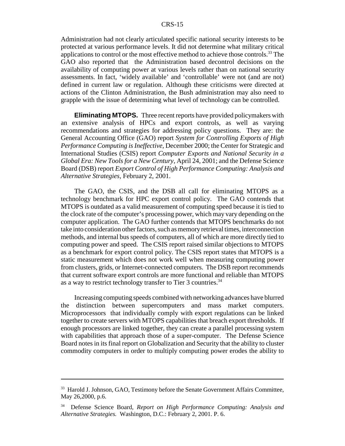Administration had not clearly articulated specific national security interests to be protected at various performance levels. It did not determine what military critical applications to control or the most effective method to achieve those controls.<sup>33</sup> The GAO also reported that the Administration based decontrol decisions on the availability of computing power at various levels rather than on national security assessments. In fact, 'widely available' and 'controllable' were not (and are not) defined in current law or regulation. Although these criticisms were directed at actions of the Clinton Administration, the Bush administration may also need to grapple with the issue of determining what level of technology can be controlled.

**Eliminating MTOPS.** Three recent reports have provided policymakers with an extensive analysis of HPCs and export controls, as well as varying recommendations and strategies for addressing policy questions. They are: the General Accounting Office (GAO) report *System for Controlling Exports of High Performance Computing is Ineffective,* December 2000; the Center for Strategic and International Studies (CSIS) report *Computer Exports and National Security in a Global Era: New Tools for a New Century,* April 24, 2001; and the Defense Science Board (DSB) report *Export Control of High Performance Computing: Analysis and Alternative Strategies,* February 2, 2001.

The GAO, the CSIS, and the DSB all call for eliminating MTOPS as a technology benchmark for HPC export control policy. The GAO contends that MTOPS is outdated as a valid measurement of computing speed because it is tied to the clock rate of the computer's processing power, which may vary depending on the computer application. The GAO further contends that MTOPS benchmarks do not take into consideration other factors, such as memory retrieval times, interconnection methods, and internal bus speeds of computers, all of which are more directly tied to computing power and speed. The CSIS report raised similar objections to MTOPS as a benchmark for export control policy. The CSIS report states that MTOPS is a static measurement which does not work well when measuring computing power from clusters, grids, or Internet-connected computers. The DSB report recommends that current software export controls are more functional and reliable than MTOPS as a way to restrict technology transfer to Tier 3 countries.<sup>34</sup>

Increasing computing speeds combined with networking advances have blurred the distinction between supercomputers and mass market computers. Microprocessors that individually comply with export regulations can be linked together to create servers with MTOPS capabilities that breach export thresholds. If enough processors are linked together, they can create a parallel processing system with capabilities that approach those of a super-computer. The Defense Science Board notes in its final report on Globalization and Security that the ability to cluster commodity computers in order to multiply computing power erodes the ability to

<sup>&</sup>lt;sup>33</sup> Harold J. Johnson, GAO, Testimony before the Senate Government Affairs Committee, May 26,2000, p.6.

<sup>34</sup> Defense Science Board, *Report on High Performance Computing: Analysis and Alternative Strategies.* Washington, D.C.: February 2, 2001. P. 6.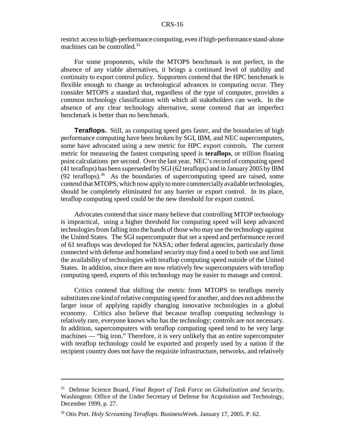restrict access to high-performance computing, even if high-performance stand-alone machines can be controlled.<sup>35</sup>

For some proponents, while the MTOPS benchmark is not perfect, in the absence of any viable alternatives, it brings a continued level of stability and continuity to export control policy. Supporters contend that the HPC benchmark is flexible enough to change as technological advances in computing occur. They consider MTOPS a standard that, regardless of the type of computer, provides a common technology classification with which all stakeholders can work. In the absence of any clear technology alternative, some contend that an imperfect benchmark is better than no benchmark.

**Teraflops.** Still, as computing speed gets faster, and the boundaries of high performance computing have been broken by SGI, IBM, and NEC supercomputers, some have advocated using a new metric for HPC export controls. The current metric for measuring the fastest computing speed is **teraflops**, or trillion floating point calculations per second. Over the last year, NEC's record of computing speed (41 teraflops) has been superseded by SGI (62 teraflops) and in January 2005 by IBM  $(92 \text{ teraflops})$ .<sup>36</sup> As the boundaries of supercomputing speed are raised, some contend that MTOPS, which now apply to more commercially available technologies, should be completely eliminated for any barrier or export control. In its place, teraflop computing speed could be the new threshold for export control.

Advocates contend that since many believe that controlling MTOP technology is impractical, using a higher threshold for computing speed will keep advanced technologies from falling into the hands of those who may use the technology against the United States. The SGI supercomputer that set a speed and performance record of 61 teraflops was developed for NASA; other federal agencies, particularly those connected with defense and homeland security may find a need to both use and limit the availability of technologies with teraflop computing speed outside of the United States. In addition, since there are now relatively few supercomputers with teraflop computing speed, exports of this technology may be easier to manage and control.

Critics contend that shifting the metric from MTOPS to teraflops merely substitutes one kind of relative computing speed for another, and does not address the larger issue of applying rapidly changing innovative technologies in a global economy. Critics also believe that because teraflop computing technology is relatively rare, everyone knows who has the technology; controls are not necessary. In addition, supercomputers with teraflop computing speed tend to be very large machines — "big iron." Therefore, it is very unlikely that an entire supercomputer with teraflop technology could be exported and properly used by a nation if the recipient country does not have the requisite infrastructure, networks, and relatively

<sup>35</sup> Defense Science Board, *Final Report of Task Force on Globalization and Security*, Washington: Office of the Under Secretary of Defense for Acquisition and Technology, December 1999, p. 27.

<sup>36</sup> Otis Port. *Holy Screaming Teraflops.* BusinessWeek. January 17, 2005. P. 62.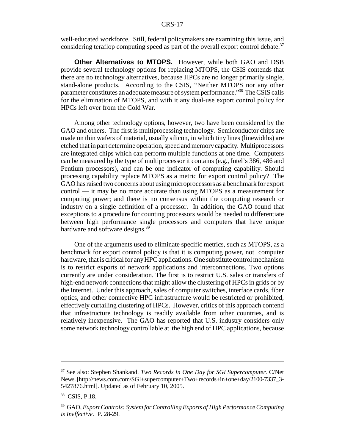well-educated workforce. Still, federal policymakers are examining this issue, and considering teraflop computing speed as part of the overall export control debate.<sup>37</sup>

**Other Alternatives to MTOPS.** However, while both GAO and DSB provide several technology options for replacing MTOPS, the CSIS contends that there are no technology alternatives, because HPCs are no longer primarily single, stand-alone products. According to the CSIS, "Neither MTOPS nor any other parameter constitutes an adequate measure of system performance."38 The CSIS calls for the elimination of MTOPS, and with it any dual-use export control policy for HPCs left over from the Cold War.

Among other technology options, however, two have been considered by the GAO and others. The first is multiprocessing technology. Semiconductor chips are made on thin wafers of material, usually silicon, in which tiny lines (linewidths) are etched that in part determine operation, speed and memory capacity. Multiprocessors are integrated chips which can perform multiple functions at one time. Computers can be measured by the type of multiprocessor it contains (e.g., Intel's 386, 486 and Pentium processors), and can be one indicator of computing capability. Should processing capability replace MTOPS as a metric for export control policy? The GAO has raised two concerns about using microprocessors as a benchmark for export control — it may be no more accurate than using MTOPS as a measurement for computing power; and there is no consensus within the computing research or industry on a single definition of a processor. In addition, the GAO found that exceptions to a procedure for counting processors would be needed to differentiate between high performance single processors and computers that have unique hardware and software designs.<sup>39</sup>

One of the arguments used to eliminate specific metrics, such as MTOPS, as a benchmark for export control policy is that it is computing power, not computer hardware, that is critical for any HPC applications. One substitute control mechanism is to restrict exports of network applications and interconnections. Two options currently are under consideration. The first is to restrict U.S. sales or transfers of high-end network connections that might allow the clustering of HPCs in grids or by the Internet. Under this approach, sales of computer switches, interface cards, fiber optics, and other connective HPC infrastructure would be restricted or prohibited, effectively curtailing clustering of HPCs. However, critics of this approach contend that infrastructure technology is readily available from other countries, and is relatively inexpensive. The GAO has reported that U.S. industry considers only some network technology controllable at the high end of HPC applications, because

<sup>37</sup> See also: Stephen Shankand. *Two Records in One Day for SGI Supercomputer.* C/Net News. [http://news.com.com/SGI+supercomputer+Two+records+in+one+day/2100-7337\_3- 5427876.html]. Updated as of February 10, 2005.

<sup>&</sup>lt;sup>38</sup> CSIS, P.18.

<sup>39</sup> GAO, *Export Controls: System for Controlling Exports of High Performance Computing is Ineffective.* P. 28-29.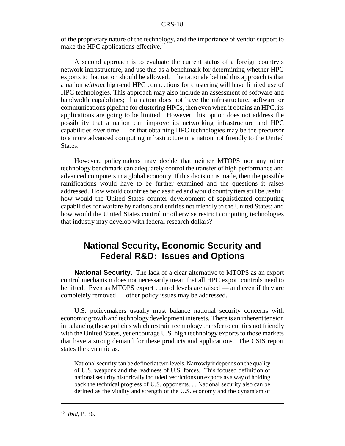of the proprietary nature of the technology, and the importance of vendor support to make the HPC applications effective.<sup>40</sup>

A second approach is to evaluate the current status of a foreign country's network infrastructure, and use this as a benchmark for determining whether HPC exports to that nation should be allowed. The rationale behind this approach is that a nation *without* high-end HPC connections for clustering will have limited use of HPC technologies. This approach may also include an assessment of software and bandwidth capabilities; if a nation does not have the infrastructure, software or communications pipeline for clustering HPCs, then even when it obtains an HPC, its applications are going to be limited. However, this option does not address the possibility that a nation can improve its networking infrastructure and HPC capabilities over time — or that obtaining HPC technologies may be the precursor to a more advanced computing infrastructure in a nation not friendly to the United States.

However, policymakers may decide that neither MTOPS nor any other technology benchmark can adequately control the transfer of high performance and advanced computers in a global economy. If this decision is made, then the possible ramifications would have to be further examined and the questions it raises addressed. How would countries be classified and would country tiers still be useful; how would the United States counter development of sophisticated computing capabilities for warfare by nations and entities not friendly to the United States; and how would the United States control or otherwise restrict computing technologies that industry may develop with federal research dollars?

## **National Security, Economic Security and Federal R&D: Issues and Options**

**National Security.** The lack of a clear alternative to MTOPS as an export control mechanism does not necessarily mean that all HPC export controls need to be lifted. Even as MTOPS export control levels are raised — and even if they are completely removed — other policy issues may be addressed.

U.S. policymakers usually must balance national security concerns with economic growth and technology development interests. There is an inherent tension in balancing those policies which restrain technology transfer to entities not friendly with the United States, yet encourage U.S. high technology exports to those markets that have a strong demand for these products and applications. The CSIS report states the dynamic as:

National security can be defined at two levels. Narrowly it depends on the quality of U.S. weapons and the readiness of U.S. forces. This focused definition of national security historically included restrictions on exports as a way of holding back the technical progress of U.S. opponents. . . National security also can be defined as the vitality and strength of the U.S. economy and the dynamism of

<sup>40</sup> *Ibid*, P. 36.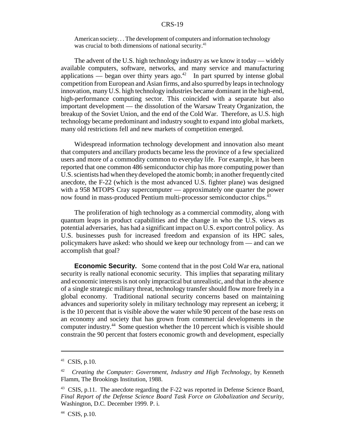American society. . . The development of computers and information technology was crucial to both dimensions of national security.<sup>41</sup>

The advent of the U.S. high technology industry as we know it today — widely available computers, software, networks, and many service and manufacturing applications — began over thirty years ago.<sup>42</sup> In part spurred by intense global competition from European and Asian firms, and also spurred by leaps in technology innovation, many U.S. high technology industries became dominant in the high-end, high-performance computing sector. This coincided with a separate but also important development — the dissolution of the Warsaw Treaty Organization, the breakup of the Soviet Union, and the end of the Cold War. Therefore, as U.S. high technology became predominant and industry sought to expand into global markets, many old restrictions fell and new markets of competition emerged.

Widespread information technology development and innovation also meant that computers and ancillary products became less the province of a few specialized users and more of a commodity common to everyday life. For example, it has been reported that one common 486 semiconductor chip has more computing power than U.S. scientists had when they developed the atomic bomb; in another frequently cited anecdote, the F-22 (which is the most advanced U.S. fighter plane) was designed with a 958 MTOPS Cray supercomputer — approximately one quarter the power now found in mass-produced Pentium multi-processor semiconductor chips.<sup>43</sup>

The proliferation of high technology as a commercial commodity, along with quantum leaps in product capabilities and the change in who the U.S. views as potential adversaries, has had a significant impact on U.S. export control policy. As U.S. businesses push for increased freedom and expansion of its HPC sales, policymakers have asked: who should we keep our technology from — and can we accomplish that goal?

**Economic Security.** Some contend that in the post Cold War era, national security is really national economic security. This implies that separating military and economic interests is not only impractical but unrealistic, and that in the absence of a single strategic military threat, technology transfer should flow more freely in a global economy. Traditional national security concerns based on maintaining advances and superiority solely in military technology may represent an iceberg; it is the 10 percent that is visible above the water while 90 percent of the base rests on an economy and society that has grown from commercial developments in the computer industry.44 Some question whether the 10 percent which is visible should constrain the 90 percent that fosters economic growth and development, especially

 $41$  CSIS, p.10.

<sup>42</sup> *Creating the Computer: Government, Industry and High Technology,* by Kenneth Flamm, The Brookings Institution, 1988.

<sup>&</sup>lt;sup>43</sup> CSIS, p.11. The anecdote regarding the F-22 was reported in Defense Science Board, *Final Report of the Defense Science Board Task Force on Globalization and Security*, Washington, D.C. December 1999. P. i.

 $44$  CSIS, p.10.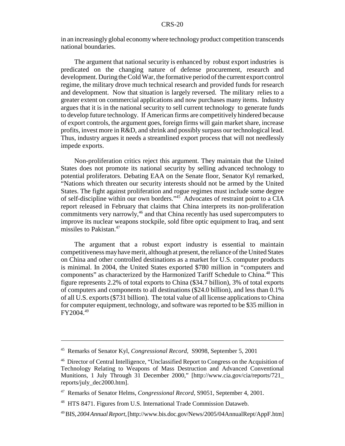in an increasingly global economy where technology product competition transcends national boundaries.

The argument that national security is enhanced by robust export industries is predicated on the changing nature of defense procurement, research and development. During the Cold War, the formative period of the current export control regime, the military drove much technical research and provided funds for research and development. Now that situation is largely reversed. The military relies to a greater extent on commercial applications and now purchases many items. Industry argues that it is in the national security to sell current technology to generate funds to develop future technology. If American firms are competitively hindered because of export controls, the argument goes, foreign firms will gain market share, increase profits, invest more in R&D, and shrink and possibly surpass our technological lead. Thus, industry argues it needs a streamlined export process that will not needlessly impede exports.

Non-proliferation critics reject this argument. They maintain that the United States does not promote its national security by selling advanced technology to potential proliferators. Debating EAA on the Senate floor, Senator Kyl remarked, "Nations which threaten our security interests should not be armed by the United States. The fight against proliferation and rogue regimes must include some degree of self-discipline within our own borders."45 Advocates of restraint point to a CIA report released in February that claims that China interprets its non-proliferation commitments very narrowly,<sup>46</sup> and that China recently has used supercomputers to improve its nuclear weapons stockpile, sold fibre optic equipment to Iraq, and sent missiles to Pakistan.<sup>47</sup>

The argument that a robust export industry is essential to maintain competitiveness may have merit, although at present, the reliance of the United States on China and other controlled destinations as a market for U.S. computer products is minimal. In 2004, the United States exported \$780 million in "computers and components" as characterized by the Harmonized Tariff Schedule to China.<sup>48</sup> This figure represents 2.2% of total exports to China (\$34.7 billion), 3% of total exports of computers and components to all destinations (\$24.0 billion), and less than 0.1% of all U.S. exports (\$731 billion). The total value of all license applications to China for computer equipment, technology, and software was reported to be \$35 million in FY2004.49

<sup>45</sup> Remarks of Senator Kyl, *Congressional Record,* S9098, September 5, 2001

<sup>46</sup> Director of Central Intelligence, "Unclassified Report to Congress on the Acquisition of Technology Relating to Weapons of Mass Destruction and Advanced Conventional Munitions, 1 July Through 31 December 2000," [http://www.cia.gov/cia/reports/721\_ reports/july\_dec2000.htm].

<sup>47</sup> Remarks of Senator Helms, *Congressional Record,* S9051, September 4, 2001.

<sup>48</sup> HTS 8471. Figures from U.S. International Trade Commission Dataweb.

<sup>49</sup> BIS, *2004 Annual Report,* [http://www.bis.doc.gov/News/2005/04AnnualRept/AppF.htm]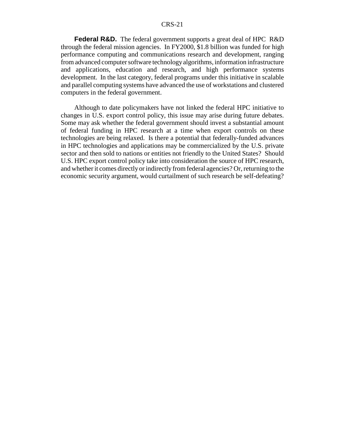**Federal R&D.** The federal government supports a great deal of HPC R&D through the federal mission agencies. In FY2000, \$1.8 billion was funded for high performance computing and communications research and development, ranging from advanced computer software technology algorithms, information infrastructure and applications, education and research, and high performance systems development. In the last category, federal programs under this initiative in scalable and parallel computing systems have advanced the use of workstations and clustered computers in the federal government.

Although to date policymakers have not linked the federal HPC initiative to changes in U.S. export control policy, this issue may arise during future debates. Some may ask whether the federal government should invest a substantial amount of federal funding in HPC research at a time when export controls on these technologies are being relaxed. Is there a potential that federally-funded advances in HPC technologies and applications may be commercialized by the U.S. private sector and then sold to nations or entities not friendly to the United States? Should U.S. HPC export control policy take into consideration the source of HPC research, and whether it comes directly or indirectly from federal agencies? Or, returning to the economic security argument, would curtailment of such research be self-defeating?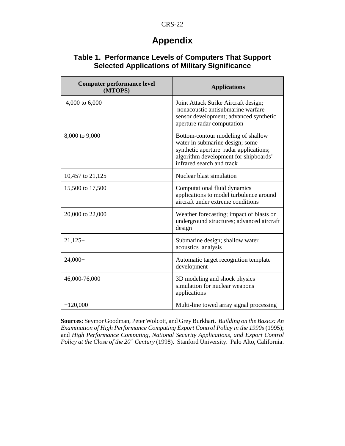## **Appendix**

| <b>Computer performance level</b><br>(MTOPS) | <b>Applications</b>                                                                                                                                                                   |
|----------------------------------------------|---------------------------------------------------------------------------------------------------------------------------------------------------------------------------------------|
| 4,000 to 6,000                               | Joint Attack Strike Aircraft design;<br>nonacoustic antisubmarine warfare<br>sensor development; advanced synthetic<br>aperture radar computation                                     |
| 8,000 to 9,000                               | Bottom-contour modeling of shallow<br>water in submarine design; some<br>synthetic aperture radar applications;<br>algorithm development for shipboards'<br>infrared search and track |
| 10,457 to 21,125                             | Nuclear blast simulation                                                                                                                                                              |
| 15,500 to 17,500                             | Computational fluid dynamics<br>applications to model turbulence around<br>aircraft under extreme conditions                                                                          |
| 20,000 to 22,000                             | Weather forecasting; impact of blasts on<br>underground structures; advanced aircraft<br>design                                                                                       |
| $21,125+$                                    | Submarine design; shallow water<br>acoustics analysis                                                                                                                                 |
| $24,000+$                                    | Automatic target recognition template<br>development                                                                                                                                  |
| 46,000-76,000                                | 3D modeling and shock physics<br>simulation for nuclear weapons<br>applications                                                                                                       |
| $+120,000$                                   | Multi-line towed array signal processing                                                                                                                                              |

### **Table 1. Performance Levels of Computers That Support Selected Applications of Military Significance**

**Sources**: Seymor Goodman, Peter Wolcott, and Grey Burkhart. *Building on the Basics: An Examination of High Performance Computing Export Control Policy in the 1990s* (1995); and *High Performance Computing, National Security Applications, and Export Control Policy at the Close of the 20<sup>th</sup> Century* (1998). Stanford University. Palo Alto, California.